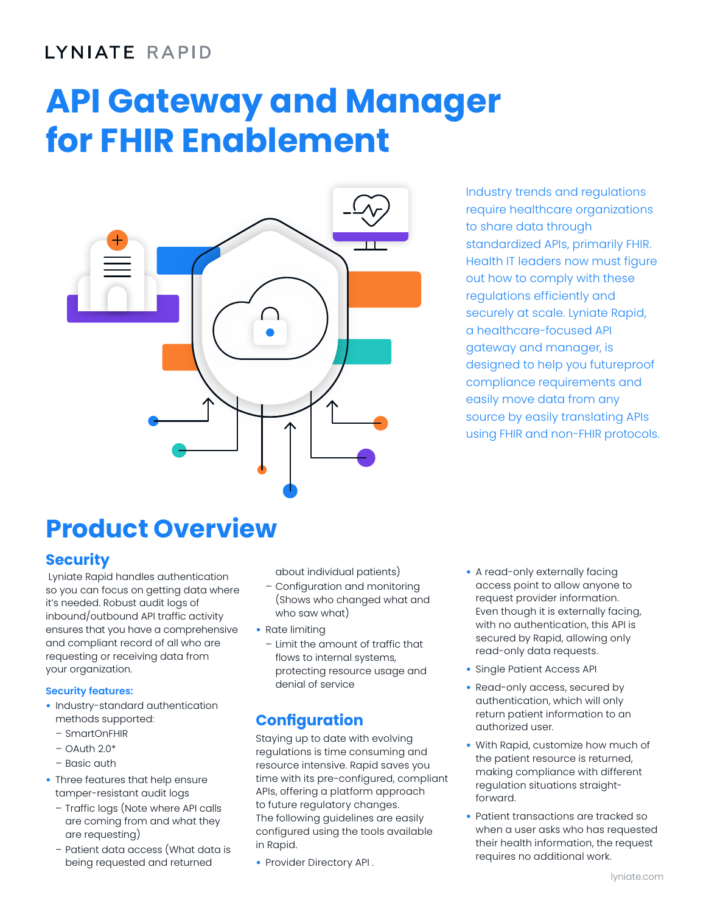# LYNIATE RAPID

# **API Gateway and Manager for FHIR Enablement**



Industry trends and regulations require healthcare organizations to share data through standardized APIs, primarily FHIR. Health IT leaders now must figure out how to comply with these regulations efficiently and securely at scale. Lyniate Rapid, a healthcare-focused API gateway and manager, is designed to help you futureproof compliance requirements and easily move data from any source by easily translating APIs using FHIR and non-FHIR protocols.

# **Product Overview**

# **Security**

 Lyniate Rapid handles authentication so you can focus on getting data where it's needed. Robust audit logs of inbound/outbound API traffic activity ensures that you have a comprehensive and compliant record of all who are requesting or receiving data from your organization.

# **Security features:**

- Industry-standard authentication methods supported:
	- SmartOnFHIR
	- $-$  OAuth 2.0 $*$
	- Basic auth
- Three features that help ensure tamper-resistant audit logs
	- Traffic logs (Note where API calls are coming from and what they are requesting)
	- Patient data access (What data is being requested and returned

about individual patients)

- Configuration and monitoring (Shows who changed what and who saw what)
- Rate limiting
	- Limit the amount of traffic that flows to internal systems, protecting resource usage and denial of service

# **Configuration**

Staying up to date with evolving regulations is time consuming and resource intensive. Rapid saves you time with its pre-configured, compliant APIs, offering a platform approach to future regulatory changes. The following guidelines are easily configured using the tools available in Rapid.

• Provider Directory API .

- A read-only externally facing access point to allow anyone to request provider information. Even though it is externally facing, with no authentication, this API is secured by Rapid, allowing only read-only data requests.
- Single Patient Access API
- Read-only access, secured by authentication, which will only return patient information to an authorized user.
- With Rapid, customize how much of the patient resource is returned, making compliance with different regulation situations straightforward.
- Patient transactions are tracked so when a user asks who has requested their health information, the request requires no additional work.